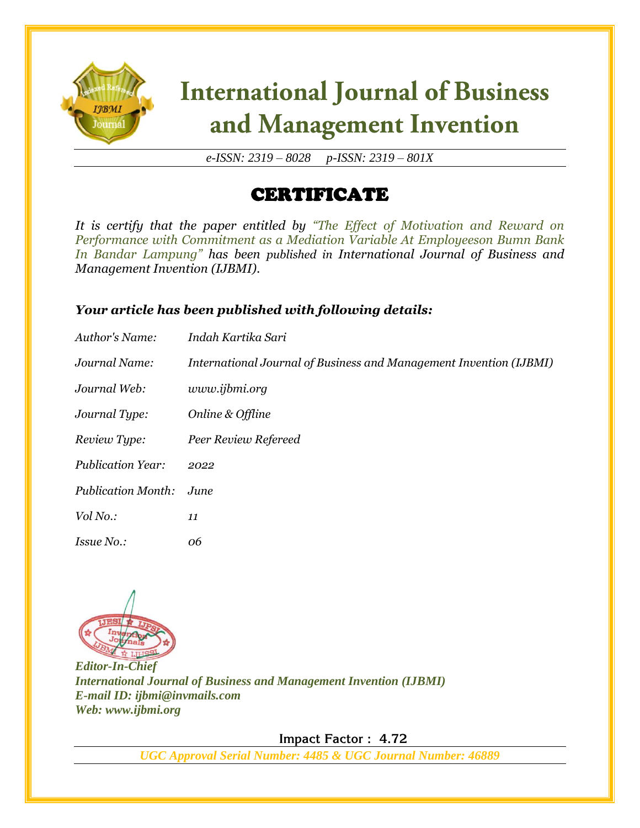

# **International Journal of Business** and Management Invention

*e-ISSN: 2319 – 8028 p-ISSN: 2319 – 801X*

## CERTIFICATE

*It is certify that the paper entitled by "The Effect of Motivation and Reward on Performance with Commitment as a Mediation Variable At Employeeson Bumn Bank In Bandar Lampung" has been published in International Journal of Business and Management Invention (IJBMI).*

### *Your article has been published with following details:*

| Author's Name:            | Indah Kartika Sari                                                 |
|---------------------------|--------------------------------------------------------------------|
| Journal Name:             | International Journal of Business and Management Invention (IJBMI) |
| Journal Web:              | www.ijbmi.org                                                      |
| Journal Type:             | Online & Offline                                                   |
| Review Type:              | Peer Review Refereed                                               |
| <b>Publication Year:</b>  | 2022                                                               |
| <b>Publication Month:</b> | June                                                               |
| Vol No.:                  | 11                                                                 |
| <i>Issue No.:</i>         | 06                                                                 |



*Editor-In-Chief International Journal of Business and Management Invention (IJBMI) E-mail ID: ijbmi@invmails.com Web: www.ijbmi.org*

 **Impact Factor : 4.72** 

*UGC Approval Serial Number: 4485 & UGC Journal Number: 46889*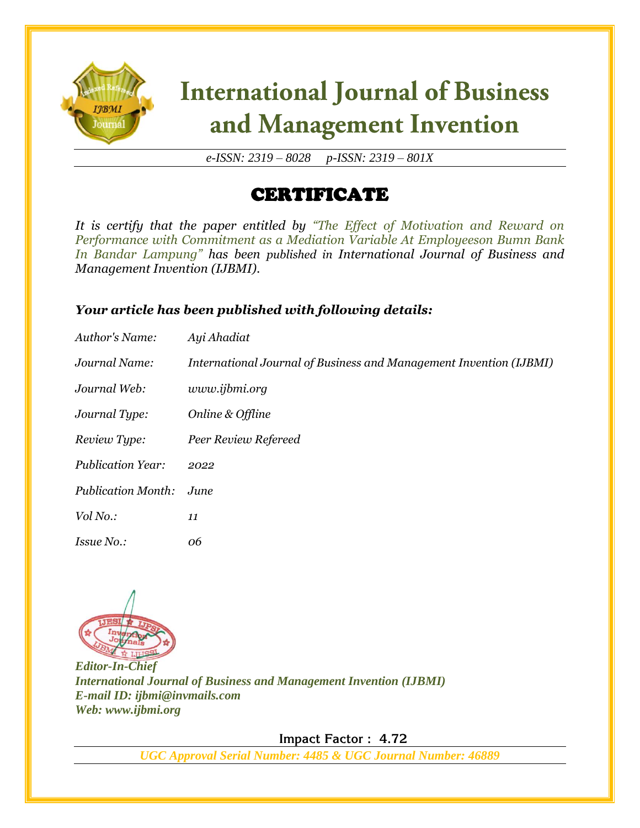

# **International Journal of Business** and Management Invention

*e-ISSN: 2319 – 8028 p-ISSN: 2319 – 801X*

## CERTIFICATE

*It is certify that the paper entitled by "The Effect of Motivation and Reward on Performance with Commitment as a Mediation Variable At Employeeson Bumn Bank In Bandar Lampung" has been published in International Journal of Business and Management Invention (IJBMI).*

### *Your article has been published with following details:*

| Author's Name:            | Ayi Ahadiat                                                        |
|---------------------------|--------------------------------------------------------------------|
| Journal Name:             | International Journal of Business and Management Invention (IJBMI) |
| Journal Web:              | www.ijbmi.org                                                      |
| Journal Type:             | Online & Offline                                                   |
| Review Type:              | Peer Review Refereed                                               |
| <b>Publication Year:</b>  | 2022                                                               |
| <b>Publication Month:</b> | June                                                               |
| Vol No.:                  | 11                                                                 |
| <i>Issue No.:</i>         | 06                                                                 |



*Editor-In-Chief International Journal of Business and Management Invention (IJBMI) E-mail ID: ijbmi@invmails.com Web: www.ijbmi.org*

 **Impact Factor : 4.72** 

*UGC Approval Serial Number: 4485 & UGC Journal Number: 46889*